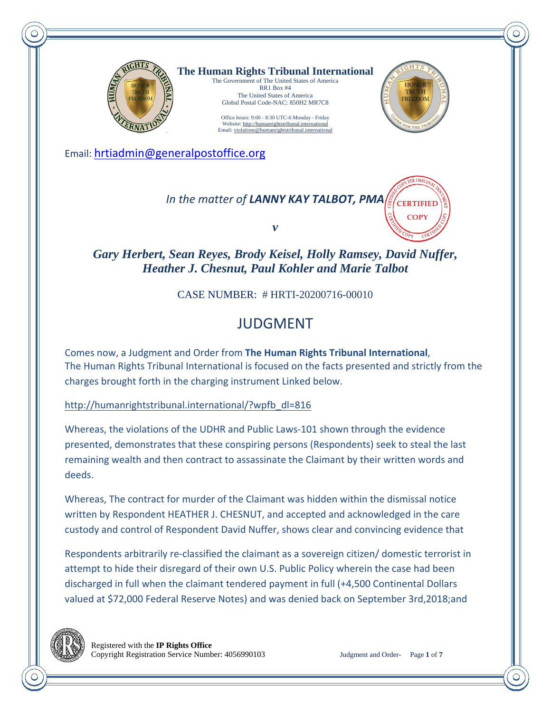

**The Human Rights Tribunal International** The Government of The United States of America RR1 Box #4

The United States of America Global Postal Code-NAC: 850H2 MR7C8 Office hours: 9:00 - 8:30 UTC-6 Monday - Friday

Website: http://humanrightstribunal.international Email: violations@humanrightstribunal.international



**COPY** 

Email: hrtiadmin@generalpostoffice.org

*In the matter of LANNY KAY TALBOT, PMA* **CERTIFIED** 

*v* 

*Gary Herbert, Sean Reyes, Brody Keisel, Holly Ramsey, David Nuffer, Heather J. Chesnut, Paul Kohler and Marie Talbot*

CASE NUMBER: # HRTI-20200716-00010

## JUDGMENT

Comes now, a Judgment and Order from **The Human Rights Tribunal International**, The Human Rights Tribunal International is focused on the facts presented and strictly from the charges brought forth in the charging instrument Linked below.

http://humanrightstribunal.international/?wpfb\_dl=816

Whereas, the violations of the UDHR and Public Laws-101 shown through the evidence presented, demonstrates that these conspiring persons (Respondents) seek to steal the last remaining wealth and then contract to assassinate the Claimant by their written words and deeds.

Whereas, The contract for murder of the Claimant was hidden within the dismissal notice written by Respondent HEATHER J. CHESNUT, and accepted and acknowledged in the care custody and control of Respondent David Nuffer, shows clear and convincing evidence that

Respondents arbitrarily re-classified the claimant as a sovereign citizen/ domestic terrorist in attempt to hide their disregard of their own U.S. Public Policy wherein the case had been discharged in full when the claimant tendered payment in full (+4,500 Continental Dollars valued at \$72,000 Federal Reserve Notes) and was denied back on September 3rd,2018;and

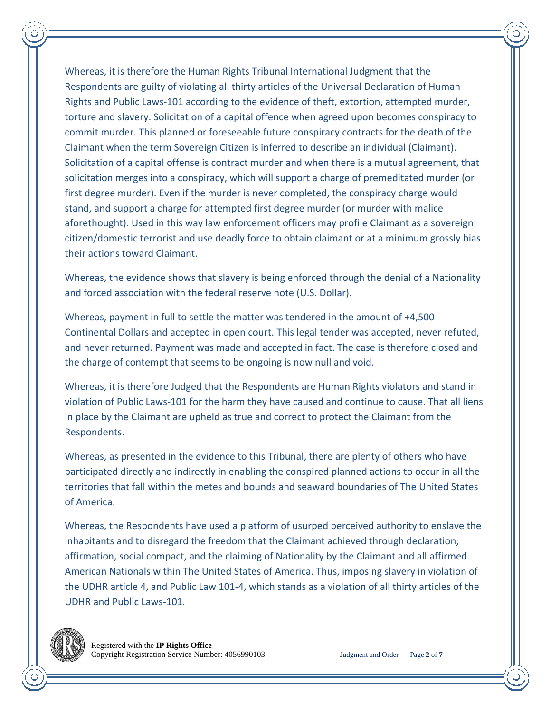Whereas, it is therefore the Human Rights Tribunal International Judgment that the Respondents are guilty of violating all thirty articles of the Universal Declaration of Human Rights and Public Laws-101 according to the evidence of theft, extortion, attempted murder, torture and slavery. Solicitation of a capital offence when agreed upon becomes conspiracy to commit murder. This planned or foreseeable future conspiracy contracts for the death of the Claimant when the term Sovereign Citizen is inferred to describe an individual (Claimant). Solicitation of a capital offense is contract murder and when there is a mutual agreement, that solicitation merges into a conspiracy, which will support a charge of premeditated murder (or first degree murder). Even if the murder is never completed, the conspiracy charge would stand, and support a charge for attempted first degree murder (or murder with malice aforethought). Used in this way law enforcement officers may profile Claimant as a sovereign citizen/domestic terrorist and use deadly force to obtain claimant or at a minimum grossly bias their actions toward Claimant.

Whereas, the evidence shows that slavery is being enforced through the denial of a Nationality and forced association with the federal reserve note (U.S. Dollar).

Whereas, payment in full to settle the matter was tendered in the amount of +4,500 Continental Dollars and accepted in open court. This legal tender was accepted, never refuted, and never returned. Payment was made and accepted in fact. The case is therefore closed and the charge of contempt that seems to be ongoing is now null and void.

Whereas, it is therefore Judged that the Respondents are Human Rights violators and stand in violation of Public Laws-101 for the harm they have caused and continue to cause. That all liens in place by the Claimant are upheld as true and correct to protect the Claimant from the Respondents.

Whereas, as presented in the evidence to this Tribunal, there are plenty of others who have participated directly and indirectly in enabling the conspired planned actions to occur in all the territories that fall within the metes and bounds and seaward boundaries of The United States of America.

Whereas, the Respondents have used a platform of usurped perceived authority to enslave the inhabitants and to disregard the freedom that the Claimant achieved through declaration, affirmation, social compact, and the claiming of Nationality by the Claimant and all affirmed American Nationals within The United States of America. Thus, imposing slavery in violation of the UDHR article 4, and Public Law 101-4, which stands as a violation of all thirty articles of the UDHR and Public Laws-101.

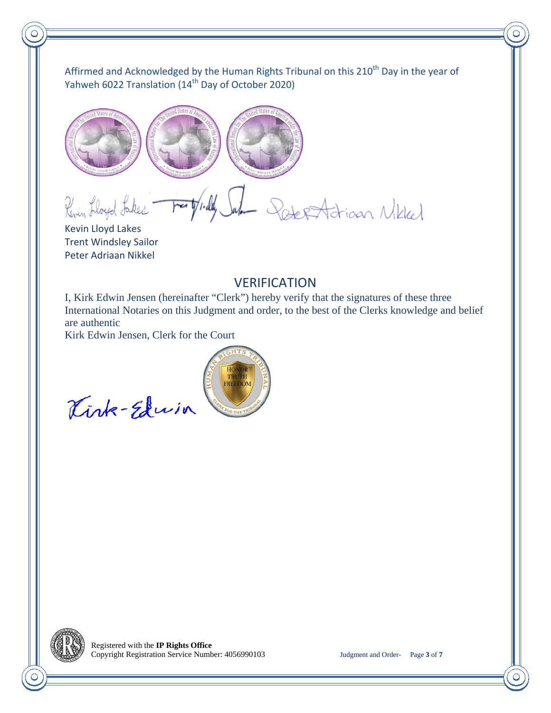Affirmed and Acknowledged by the Human Rights Tribunal on this 210<sup>th</sup> Day in the year of Yahweh 6022 Translation (14<sup>th</sup> Day of October 2020)



Forty rilly Sale Deler Adrian Nikkel Revin Lloyd Lakes

Kevin Lloyd Lakes Trent Windsley Sailor Peter Adriaan Nikkel

## VERIFICATION

I, Kirk Edwin Jensen (hereinafter "Clerk") hereby verify that the signatures of these three International Notaries on this Judgment and order, to the best of the Clerks knowledge and belief are authentic

Kirk Edwin Jensen, Clerk for the Court



Kink-Edwin

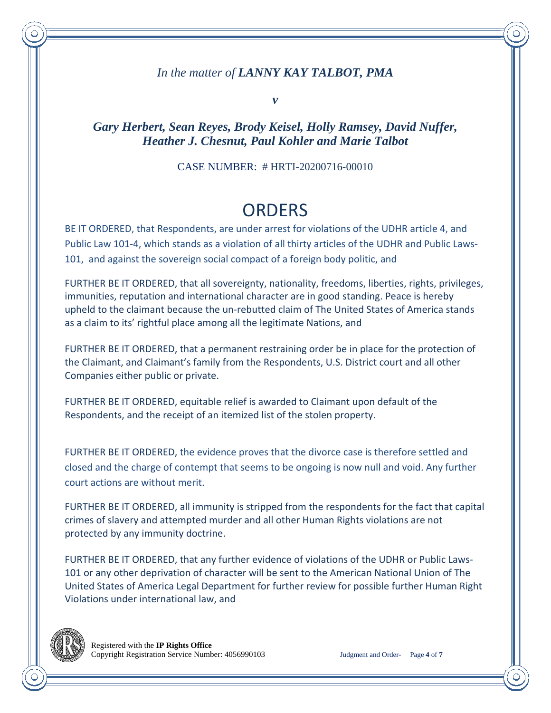### *In the matter of LANNY KAY TALBOT, PMA*

*v* 

### *Gary Herbert, Sean Reyes, Brody Keisel, Holly Ramsey, David Nuffer, Heather J. Chesnut, Paul Kohler and Marie Talbot*

#### CASE NUMBER: # HRTI-20200716-00010

# **ORDERS**

BE IT ORDERED, that Respondents, are under arrest for violations of the UDHR article 4, and Public Law 101-4, which stands as a violation of all thirty articles of the UDHR and Public Laws-101, and against the sovereign social compact of a foreign body politic, and

FURTHER BE IT ORDERED, that all sovereignty, nationality, freedoms, liberties, rights, privileges, immunities, reputation and international character are in good standing. Peace is hereby upheld to the claimant because the un-rebutted claim of The United States of America stands as a claim to its' rightful place among all the legitimate Nations, and

FURTHER BE IT ORDERED, that a permanent restraining order be in place for the protection of the Claimant, and Claimant's family from the Respondents, U.S. District court and all other Companies either public or private.

FURTHER BE IT ORDERED, equitable relief is awarded to Claimant upon default of the Respondents, and the receipt of an itemized list of the stolen property.

FURTHER BE IT ORDERED, the evidence proves that the divorce case is therefore settled and closed and the charge of contempt that seems to be ongoing is now null and void. Any further court actions are without merit.

FURTHER BE IT ORDERED, all immunity is stripped from the respondents for the fact that capital crimes of slavery and attempted murder and all other Human Rights violations are not protected by any immunity doctrine.

FURTHER BE IT ORDERED, that any further evidence of violations of the UDHR or Public Laws-101 or any other deprivation of character will be sent to the American National Union of The United States of America Legal Department for further review for possible further Human Right Violations under international law, and

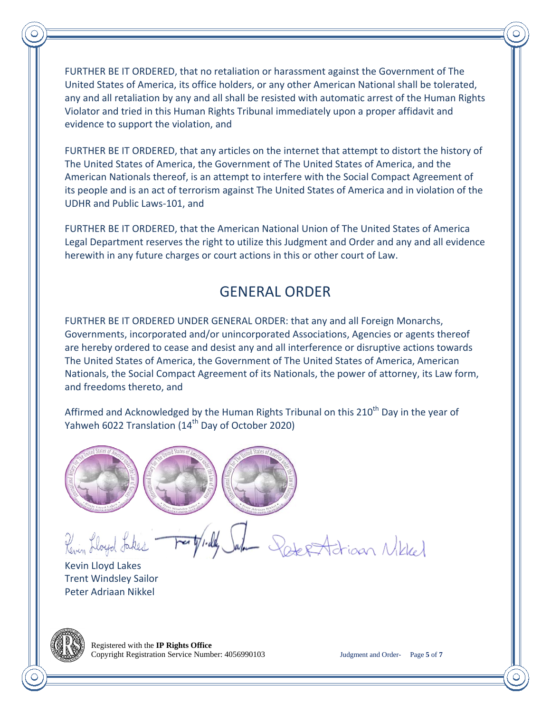FURTHER BE IT ORDERED, that no retaliation or harassment against the Government of The United States of America, its office holders, or any other American National shall be tolerated, any and all retaliation by any and all shall be resisted with automatic arrest of the Human Rights Violator and tried in this Human Rights Tribunal immediately upon a proper affidavit and evidence to support the violation, and

FURTHER BE IT ORDERED, that any articles on the internet that attempt to distort the history of The United States of America, the Government of The United States of America, and the American Nationals thereof, is an attempt to interfere with the Social Compact Agreement of its people and is an act of terrorism against The United States of America and in violation of the UDHR and Public Laws-101, and

FURTHER BE IT ORDERED, that the American National Union of The United States of America Legal Department reserves the right to utilize this Judgment and Order and any and all evidence herewith in any future charges or court actions in this or other court of Law.

## GENERAL ORDER

FURTHER BE IT ORDERED UNDER GENERAL ORDER: that any and all Foreign Monarchs, Governments, incorporated and/or unincorporated Associations, Agencies or agents thereof are hereby ordered to cease and desist any and all interference or disruptive actions towards The United States of America, the Government of The United States of America, American Nationals, the Social Compact Agreement of its Nationals, the power of attorney, its Law form, and freedoms thereto, and

Affirmed and Acknowledged by the Human Rights Tribunal on this  $210<sup>th</sup>$  Day in the year of Yahweh 6022 Translation (14<sup>th</sup> Day of October 2020)



Revin Lloyd Lakes

PeterAdrian Nikled

Kevin Lloyd Lakes Trent Windsley Sailor Peter Adriaan Nikkel



 Registered with the **IP Rights Office** Copyright Registration Service Number: 4056990103 Judgment and Order- Page **5** of **7**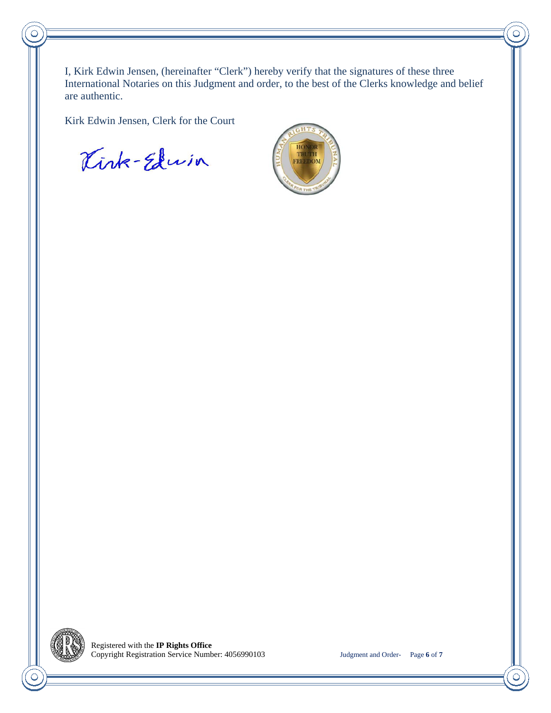I, Kirk Edwin Jensen, (hereinafter "Clerk") hereby verify that the signatures of these three International Notaries on this Judgment and order, to the best of the Clerks knowledge and belief are authentic.

Kirk Edwin Jensen, Clerk for the Court

Kirk-Edwin



С



 $\overline{\bigcirc}$